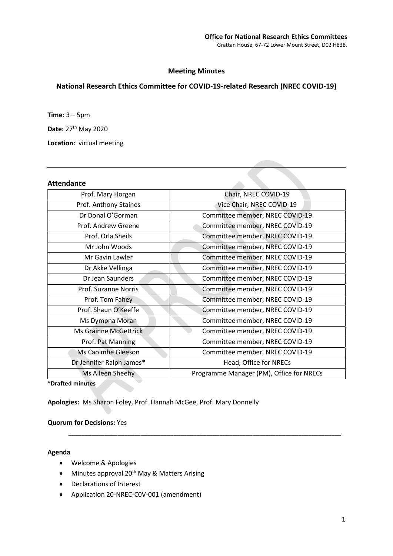# Meeting Minutes

# National Research Ethics Committee for COVID-19-related Research (NREC COVID-19)

**Time:**  $3 - 5$ pm

Date: 27<sup>th</sup> May 2020

Location: virtual meeting

### Attendance

| Prof. Mary Horgan            | Chair, NREC COVID-19                     |
|------------------------------|------------------------------------------|
| Prof. Anthony Staines        | Vice Chair, NREC COVID-19                |
| Dr Donal O'Gorman            | Committee member, NREC COVID-19          |
| Prof. Andrew Greene          | Committee member, NREC COVID-19          |
| Prof. Orla Sheils            | Committee member, NREC COVID-19          |
| Mr John Woods                | Committee member, NREC COVID-19          |
| Mr Gavin Lawler              | Committee member, NREC COVID-19          |
| Dr Akke Vellinga             | Committee member, NREC COVID-19          |
| Dr Jean Saunders             | Committee member, NREC COVID-19          |
| Prof. Suzanne Norris         | Committee member, NREC COVID-19          |
| Prof. Tom Fahey              | Committee member, NREC COVID-19          |
| Prof. Shaun O'Keeffe         | Committee member, NREC COVID-19          |
| Ms Dympna Moran              | Committee member, NREC COVID-19          |
| <b>Ms Grainne McGettrick</b> | Committee member, NREC COVID-19          |
| Prof. Pat Manning            | Committee member, NREC COVID-19          |
| Ms Caoimhe Gleeson           | Committee member, NREC COVID-19          |
| Dr Jennifer Ralph James*     | Head, Office for NRECs                   |
| Ms Aileen Sheehy             | Programme Manager (PM), Office for NRECs |
|                              |                                          |

\_\_\_\_\_\_\_\_\_\_\_\_\_\_\_\_\_\_\_\_\_\_\_\_\_\_\_\_\_\_\_\_\_\_\_\_\_\_\_\_\_\_\_\_\_\_\_\_\_\_\_\_\_\_\_\_\_\_\_\_\_\_\_\_\_\_\_\_\_\_\_\_\_\_\_\_\_\_\_\_\_\_\_

\*Drafted minutes

Apologies: Ms Sharon Foley, Prof. Hannah McGee, Prof. Mary Donnelly

## Quorum for Decisions: Yes

#### Agenda

- Welcome & Apologies
- $\bullet$  Minutes approval 20<sup>th</sup> May & Matters Arising
- Declarations of Interest
- Application 20-NREC-C0V-001 (amendment)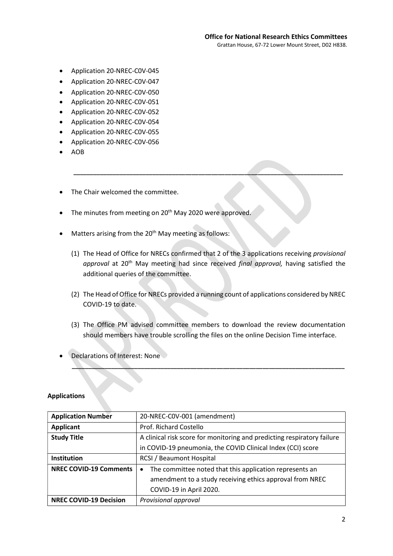- Application 20-NREC-C0V-045
- Application 20-NREC-C0V-047
- Application 20-NREC-C0V-050
- Application 20-NREC-C0V-051
- Application 20-NREC-C0V-052
- Application 20-NREC-C0V-054
- Application 20-NREC-C0V-055
- Application 20-NREC-C0V-056
- AOB
- The Chair welcomed the committee.
- The minutes from meeting on 20<sup>th</sup> May 2020 were approved.
- Matters arising from the 20<sup>th</sup> May meeting as follows:
	- (1) The Head of Office for NRECs confirmed that 2 of the 3 applications receiving provisional approval at 20<sup>th</sup> May meeting had since received final approval, having satisfied the additional queries of the committee.

\_\_\_\_\_\_\_\_\_\_\_\_\_\_\_\_\_\_\_\_\_\_\_\_\_\_\_\_\_\_\_\_\_\_\_\_\_\_\_\_\_\_\_\_\_\_\_\_\_\_\_\_\_\_\_\_\_\_\_\_\_\_\_\_\_\_\_\_\_\_\_\_\_\_\_\_\_\_\_\_\_\_

- (2) The Head of Office for NRECs provided a running count of applications considered by NREC COVID-19 to date.
- (3) The Office PM advised committee members to download the review documentation should members have trouble scrolling the files on the online Decision Time interface.

 $\mathcal{L}_\mathcal{L} = \mathcal{L}_\mathcal{L} = \mathcal{L}_\mathcal{L} = \mathcal{L}_\mathcal{L} = \mathcal{L}_\mathcal{L} = \mathcal{L}_\mathcal{L} = \mathcal{L}_\mathcal{L} = \mathcal{L}_\mathcal{L} = \mathcal{L}_\mathcal{L} = \mathcal{L}_\mathcal{L} = \mathcal{L}_\mathcal{L} = \mathcal{L}_\mathcal{L} = \mathcal{L}_\mathcal{L} = \mathcal{L}_\mathcal{L} = \mathcal{L}_\mathcal{L} = \mathcal{L}_\mathcal{L} = \mathcal{L}_\mathcal{L}$ 

Declarations of Interest: None

## Applications

| <b>Application Number</b>     | 20-NREC-COV-001 (amendment)                                             |
|-------------------------------|-------------------------------------------------------------------------|
| <b>Applicant</b>              | Prof. Richard Costello                                                  |
| <b>Study Title</b>            | A clinical risk score for monitoring and predicting respiratory failure |
|                               | in COVID-19 pneumonia, the COVID Clinical Index (CCI) score             |
| Institution                   | <b>RCSI / Beaumont Hospital</b>                                         |
| <b>NREC COVID-19 Comments</b> | The committee noted that this application represents an<br>$\bullet$    |
|                               | amendment to a study receiving ethics approval from NREC                |
|                               | COVID-19 in April 2020.                                                 |
| <b>NREC COVID-19 Decision</b> | Provisional approval                                                    |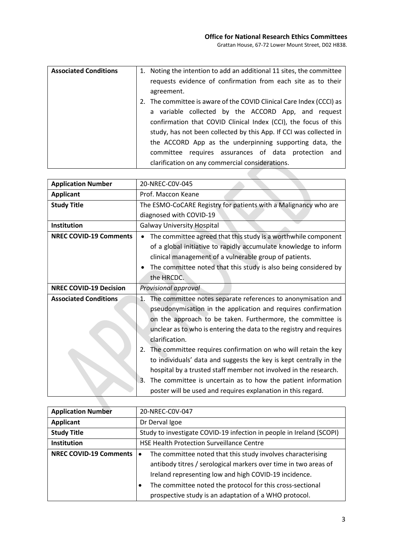**Contract** 

| <b>Associated Conditions</b> | 1. Noting the intention to add an additional 11 sites, the committee |
|------------------------------|----------------------------------------------------------------------|
|                              | requests evidence of confirmation from each site as to their         |
|                              | agreement.                                                           |
|                              | 2. The committee is aware of the COVID Clinical Care Index (CCCI) as |
|                              | a variable collected by the ACCORD App, and request                  |
|                              | confirmation that COVID Clinical Index (CCI), the focus of this      |
|                              | study, has not been collected by this App. If CCI was collected in   |
|                              | the ACCORD App as the underpinning supporting data, the              |
|                              | requires assurances of data protection and<br>committee              |
|                              | clarification on any commercial considerations.                      |

| <b>Application Number</b>     | 20-NREC-C0V-045                                                      |  |  |
|-------------------------------|----------------------------------------------------------------------|--|--|
| <b>Applicant</b>              | Prof. Maccon Keane                                                   |  |  |
| <b>Study Title</b>            | The ESMO-CoCARE Registry for patients with a Malignancy who are      |  |  |
|                               | diagnosed with COVID-19                                              |  |  |
| Institution                   | <b>Galway University Hospital</b>                                    |  |  |
| <b>NREC COVID-19 Comments</b> | The committee agreed that this study is a worthwhile component       |  |  |
|                               | of a global initiative to rapidly accumulate knowledge to inform     |  |  |
|                               | clinical management of a vulnerable group of patients.               |  |  |
|                               | The committee noted that this study is also being considered by      |  |  |
|                               | the HRCDC.                                                           |  |  |
| <b>NREC COVID-19 Decision</b> | Provisional approval                                                 |  |  |
| <b>Associated Conditions</b>  | 1. The committee notes separate references to anonymisation and      |  |  |
|                               | pseudonymisation in the application and requires confirmation        |  |  |
|                               | on the approach to be taken. Furthermore, the committee is           |  |  |
|                               | unclear as to who is entering the data to the registry and requires  |  |  |
|                               | clarification.                                                       |  |  |
|                               | The committee requires confirmation on who will retain the key<br>2. |  |  |
|                               | to individuals' data and suggests the key is kept centrally in the   |  |  |
|                               | hospital by a trusted staff member not involved in the research.     |  |  |
|                               | The committee is uncertain as to how the patient information<br>3.   |  |  |
|                               | poster will be used and requires explanation in this regard.         |  |  |

| <b>Application Number</b>     | 20-NREC-C0V-047                                                          |  |
|-------------------------------|--------------------------------------------------------------------------|--|
| <b>Applicant</b>              | Dr Derval Igoe                                                           |  |
| <b>Study Title</b>            | Study to investigate COVID-19 infection in people in Ireland (SCOPI)     |  |
| Institution                   | <b>HSE Health Protection Surveillance Centre</b>                         |  |
| <b>NREC COVID-19 Comments</b> | The committee noted that this study involves characterising<br>$\bullet$ |  |
|                               | antibody titres / serological markers over time in two areas of          |  |
|                               | Ireland representing low and high COVID-19 incidence.                    |  |
|                               | The committee noted the protocol for this cross-sectional                |  |
|                               | prospective study is an adaptation of a WHO protocol.                    |  |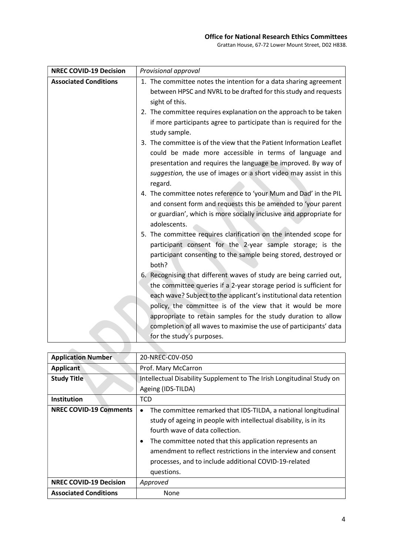## Office for National Research Ethics Committees

Grattan House, 67-72 Lower Mount Street, D02 H838.

| <b>NREC COVID-19 Decision</b> | Provisional approval                                                                |
|-------------------------------|-------------------------------------------------------------------------------------|
| <b>Associated Conditions</b>  | 1. The committee notes the intention for a data sharing agreement                   |
|                               | between HPSC and NVRL to be drafted for this study and requests                     |
|                               | sight of this.                                                                      |
|                               | 2. The committee requires explanation on the approach to be taken                   |
|                               | if more participants agree to participate than is required for the<br>study sample. |
|                               | 3. The committee is of the view that the Patient Information Leaflet                |
|                               | could be made more accessible in terms of language and                              |
|                               | presentation and requires the language be improved. By way of                       |
|                               | suggestion, the use of images or a short video may assist in this                   |
|                               | regard.                                                                             |
|                               | 4. The committee notes reference to 'your Mum and Dad' in the PIL                   |
|                               | and consent form and requests this be amended to 'your parent                       |
|                               | or guardian', which is more socially inclusive and appropriate for                  |
|                               | adolescents.                                                                        |
|                               | 5. The committee requires clarification on the intended scope for                   |
|                               | participant consent for the 2-year sample storage; is the                           |
|                               | participant consenting to the sample being stored, destroyed or                     |
|                               | both?                                                                               |
|                               | 6. Recognising that different waves of study are being carried out,                 |
|                               | the committee queries if a 2-year storage period is sufficient for                  |
|                               | each wave? Subject to the applicant's institutional data retention                  |
|                               | policy, the committee is of the view that it would be more                          |
|                               | appropriate to retain samples for the study duration to allow                       |
|                               | completion of all waves to maximise the use of participants' data                   |
|                               | for the study's purposes.                                                           |

| <b>Application Number</b>     | 20-NREC-C0V-050                                                                                                                                                                                                                                                                                                                                                                              |
|-------------------------------|----------------------------------------------------------------------------------------------------------------------------------------------------------------------------------------------------------------------------------------------------------------------------------------------------------------------------------------------------------------------------------------------|
| <b>Applicant</b>              | Prof. Mary McCarron                                                                                                                                                                                                                                                                                                                                                                          |
| <b>Study Title</b>            | Intellectual Disability Supplement to The Irish Longitudinal Study on                                                                                                                                                                                                                                                                                                                        |
|                               | Ageing (IDS-TILDA)                                                                                                                                                                                                                                                                                                                                                                           |
| Institution                   | <b>TCD</b>                                                                                                                                                                                                                                                                                                                                                                                   |
| <b>NREC COVID-19 Comments</b> | The committee remarked that IDS-TILDA, a national longitudinal<br>$\bullet$<br>study of ageing in people with intellectual disability, is in its<br>fourth wave of data collection.<br>The committee noted that this application represents an<br>٠<br>amendment to reflect restrictions in the interview and consent<br>processes, and to include additional COVID-19-related<br>questions. |
| <b>NREC COVID-19 Decision</b> | Approved                                                                                                                                                                                                                                                                                                                                                                                     |
| <b>Associated Conditions</b>  | None                                                                                                                                                                                                                                                                                                                                                                                         |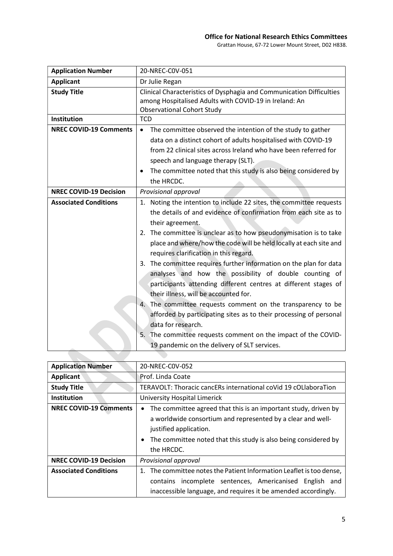# Office for National Research Ethics Committees

Grattan House, 67-72 Lower Mount Street, D02 H838.

| <b>Application Number</b>     | 20-NREC-COV-051                                                                                                                                                                                                                                                                                                                                                                                                                                                                                                                                                                                                                                                                                                                                                                                                                                                             |  |  |
|-------------------------------|-----------------------------------------------------------------------------------------------------------------------------------------------------------------------------------------------------------------------------------------------------------------------------------------------------------------------------------------------------------------------------------------------------------------------------------------------------------------------------------------------------------------------------------------------------------------------------------------------------------------------------------------------------------------------------------------------------------------------------------------------------------------------------------------------------------------------------------------------------------------------------|--|--|
| <b>Applicant</b>              | Dr Julie Regan                                                                                                                                                                                                                                                                                                                                                                                                                                                                                                                                                                                                                                                                                                                                                                                                                                                              |  |  |
| <b>Study Title</b>            | Clinical Characteristics of Dysphagia and Communication Difficulties<br>among Hospitalised Adults with COVID-19 in Ireland: An<br><b>Observational Cohort Study</b>                                                                                                                                                                                                                                                                                                                                                                                                                                                                                                                                                                                                                                                                                                         |  |  |
| Institution                   | <b>TCD</b>                                                                                                                                                                                                                                                                                                                                                                                                                                                                                                                                                                                                                                                                                                                                                                                                                                                                  |  |  |
| <b>NREC COVID-19 Comments</b> | The committee observed the intention of the study to gather<br>$\bullet$<br>data on a distinct cohort of adults hospitalised with COVID-19<br>from 22 clinical sites across Ireland who have been referred for<br>speech and language therapy (SLT).<br>The committee noted that this study is also being considered by<br>the HRCDC.                                                                                                                                                                                                                                                                                                                                                                                                                                                                                                                                       |  |  |
| <b>NREC COVID-19 Decision</b> | Provisional approval                                                                                                                                                                                                                                                                                                                                                                                                                                                                                                                                                                                                                                                                                                                                                                                                                                                        |  |  |
| <b>Associated Conditions</b>  | 1. Noting the intention to include 22 sites, the committee requests<br>the details of and evidence of confirmation from each site as to<br>their agreement.<br>2. The committee is unclear as to how pseudonymisation is to take<br>place and where/how the code will be held locally at each site and<br>requires clarification in this regard.<br>3. The committee requires further information on the plan for data<br>analyses and how the possibility of double counting of<br>participants attending different centres at different stages of<br>their illness, will be accounted for.<br>4. The committee requests comment on the transparency to be<br>afforded by participating sites as to their processing of personal<br>data for research.<br>5.<br>The committee requests comment on the impact of the COVID-<br>19 pandemic on the delivery of SLT services. |  |  |

| <b>Application Number</b>     | 20-NREC-COV-052                                                                                                                                                                                                                           |  |  |  |
|-------------------------------|-------------------------------------------------------------------------------------------------------------------------------------------------------------------------------------------------------------------------------------------|--|--|--|
| <b>Applicant</b>              | Prof. Linda Coate                                                                                                                                                                                                                         |  |  |  |
| <b>Study Title</b>            | TERAVOLT: Thoracic cancERs international coVid 19 cOLlaboraTion                                                                                                                                                                           |  |  |  |
| <b>Institution</b>            | University Hospital Limerick                                                                                                                                                                                                              |  |  |  |
| <b>NREC COVID-19 Comments</b> | The committee agreed that this is an important study, driven by<br>a worldwide consortium and represented by a clear and well-<br>justified application.<br>The committee noted that this study is also being considered by<br>the HRCDC. |  |  |  |
| <b>NREC COVID-19 Decision</b> | Provisional approval                                                                                                                                                                                                                      |  |  |  |
| <b>Associated Conditions</b>  | 1. The committee notes the Patient Information Leaflet is too dense,                                                                                                                                                                      |  |  |  |
|                               | contains incomplete sentences, Americanised English and<br>inaccessible language, and requires it be amended accordingly.                                                                                                                 |  |  |  |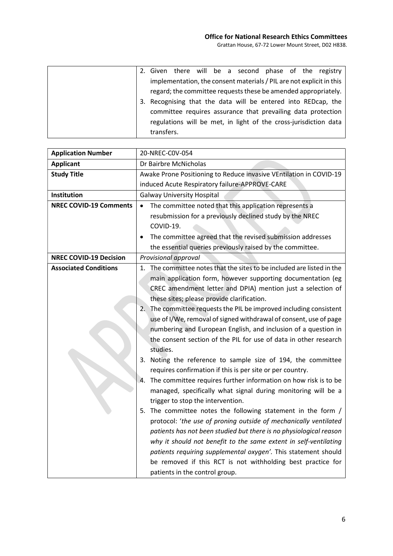|            |  |  | 2. Given there will be a second phase of the registry                |  |  |
|------------|--|--|----------------------------------------------------------------------|--|--|
|            |  |  | implementation, the consent materials / PIL are not explicit in this |  |  |
|            |  |  | regard; the committee requests these be amended appropriately.       |  |  |
|            |  |  | 3. Recognising that the data will be entered into REDcap, the        |  |  |
|            |  |  | committee requires assurance that prevailing data protection         |  |  |
|            |  |  | regulations will be met, in light of the cross-jurisdiction data     |  |  |
| transfers. |  |  |                                                                      |  |  |

| <b>Application Number</b>     | 20-NREC-COV-054                                                        |  |  |
|-------------------------------|------------------------------------------------------------------------|--|--|
| <b>Applicant</b>              | Dr Bairbre McNicholas                                                  |  |  |
| <b>Study Title</b>            | Awake Prone Positioning to Reduce invasive VEntilation in COVID-19     |  |  |
|                               | induced Acute Respiratory failure-APPROVE-CARE                         |  |  |
| <b>Institution</b>            | <b>Galway University Hospital</b>                                      |  |  |
| <b>NREC COVID-19 Comments</b> | The committee noted that this application represents a<br>$\bullet$    |  |  |
|                               | resubmission for a previously declined study by the NREC               |  |  |
|                               | COVID-19.                                                              |  |  |
|                               | The committee agreed that the revised submission addresses             |  |  |
|                               | the essential queries previously raised by the committee.              |  |  |
| <b>NREC COVID-19 Decision</b> | Provisional approval                                                   |  |  |
| <b>Associated Conditions</b>  | 1. The committee notes that the sites to be included are listed in the |  |  |
|                               | main application form, however supporting documentation (eg            |  |  |
|                               | CREC amendment letter and DPIA) mention just a selection of            |  |  |
|                               | these sites; please provide clarification.                             |  |  |
|                               | 2. The committee requests the PIL be improved including consistent     |  |  |
|                               | use of I/We, removal of signed withdrawal of consent, use of page      |  |  |
|                               | numbering and European English, and inclusion of a question in         |  |  |
|                               | the consent section of the PIL for use of data in other research       |  |  |
|                               | studies.                                                               |  |  |
|                               | 3. Noting the reference to sample size of 194, the committee           |  |  |
|                               | requires confirmation if this is per site or per country.              |  |  |
|                               | The committee requires further information on how risk is to be<br>4.  |  |  |
|                               | managed, specifically what signal during monitoring will be a          |  |  |
|                               | trigger to stop the intervention.                                      |  |  |
|                               | 5. The committee notes the following statement in the form /           |  |  |
|                               | protocol: 'the use of proning outside of mechanically ventilated       |  |  |
|                               | patients has not been studied but there is no physiological reason     |  |  |
|                               | why it should not benefit to the same extent in self-ventilating       |  |  |
|                               | patients requiring supplemental oxygen'. This statement should         |  |  |
|                               | be removed if this RCT is not withholding best practice for            |  |  |
|                               | patients in the control group.                                         |  |  |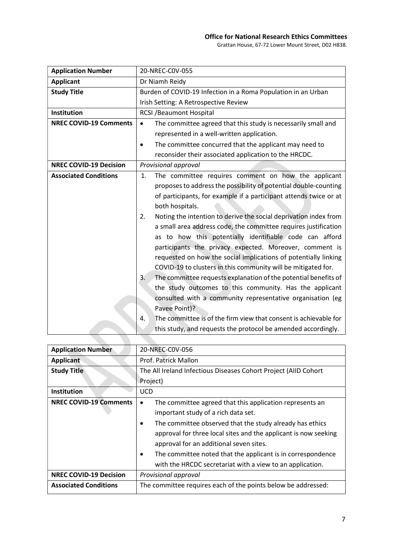## Office for National Research Ethics Committees

Grattan House, 67-72 Lower Mount Street, D02 H838.

| <b>Application Number</b>     | 20-NREC-COV-055                                                            |  |  |
|-------------------------------|----------------------------------------------------------------------------|--|--|
| <b>Applicant</b>              | Dr Niamh Reidy                                                             |  |  |
| <b>Study Title</b>            | Burden of COVID-19 Infection in a Roma Population in an Urban              |  |  |
|                               | Irish Setting: A Retrospective Review                                      |  |  |
| Institution                   | <b>RCSI / Beaumont Hospital</b>                                            |  |  |
| <b>NREC COVID-19 Comments</b> | The committee agreed that this study is necessarily small and<br>$\bullet$ |  |  |
|                               | represented in a well-written application.                                 |  |  |
|                               | The committee concurred that the applicant may need to<br>٠                |  |  |
|                               | reconsider their associated application to the HRCDC.                      |  |  |
| <b>NREC COVID-19 Decision</b> | Provisional approval                                                       |  |  |
| <b>Associated Conditions</b>  | 1.<br>The committee requires comment on how the applicant                  |  |  |
|                               | proposes to address the possibility of potential double-counting           |  |  |
|                               | of participants, for example if a participant attends twice or at          |  |  |
|                               | both hospitals.                                                            |  |  |
|                               | Noting the intention to derive the social deprivation index from<br>2.     |  |  |
|                               | a small area address code, the committee requires justification            |  |  |
|                               | as to how this potentially identifiable code can afford                    |  |  |
|                               | participants the privacy expected. Moreover, comment is                    |  |  |
|                               | requested on how the social implications of potentially linking            |  |  |
|                               | COVID-19 to clusters in this community will be mitigated for.              |  |  |
|                               | The committee requests explanation of the potential benefits of<br>3.      |  |  |
|                               | the study outcomes to this community. Has the applicant                    |  |  |
|                               | consulted with a community representative organisation (eg                 |  |  |
|                               | Pavee Point)?                                                              |  |  |
|                               | The committee is of the firm view that consent is achievable for<br>4.     |  |  |
|                               | this study, and requests the protocol be amended accordingly.              |  |  |

| <b>Application Number</b>     | 20-NREC-C0V-056                                                                                                                                                                                                                                                                                                                                                                                                                 |  |  |
|-------------------------------|---------------------------------------------------------------------------------------------------------------------------------------------------------------------------------------------------------------------------------------------------------------------------------------------------------------------------------------------------------------------------------------------------------------------------------|--|--|
| <b>Applicant</b>              | Prof. Patrick Mallon                                                                                                                                                                                                                                                                                                                                                                                                            |  |  |
| <b>Study Title</b>            | The All Ireland Infectious Diseases Cohort Project (AIID Cohort                                                                                                                                                                                                                                                                                                                                                                 |  |  |
|                               | Project)                                                                                                                                                                                                                                                                                                                                                                                                                        |  |  |
| Institution                   | <b>UCD</b>                                                                                                                                                                                                                                                                                                                                                                                                                      |  |  |
| <b>NREC COVID-19 Comments</b> | The committee agreed that this application represents an<br>$\bullet$<br>important study of a rich data set.<br>The committee observed that the study already has ethics<br>approval for three local sites and the applicant is now seeking<br>approval for an additional seven sites.<br>The committee noted that the applicant is in correspondence<br>$\bullet$<br>with the HRCDC secretariat with a view to an application. |  |  |
| <b>NREC COVID-19 Decision</b> | Provisional approval                                                                                                                                                                                                                                                                                                                                                                                                            |  |  |
| <b>Associated Conditions</b>  | The committee requires each of the points below be addressed:                                                                                                                                                                                                                                                                                                                                                                   |  |  |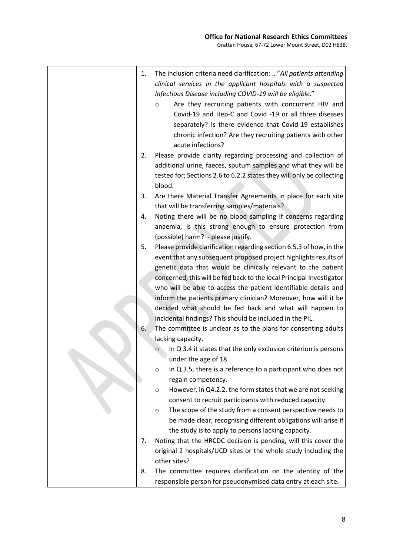|  | 1. | The inclusion criteria need clarification: " All patients attending<br>clinical services in the applicant hospitals with a suspected<br>Infectious Disease including COVID-19 will be eligible."<br>Are they recruiting patients with concurrent HIV and<br>$\circ$<br>Covid-19 and Hep-C and Covid -19 or all three diseases<br>separately? Is there evidence that Covid-19 establishes<br>chronic infection? Are they recruiting patients with other<br>acute infections? |
|--|----|-----------------------------------------------------------------------------------------------------------------------------------------------------------------------------------------------------------------------------------------------------------------------------------------------------------------------------------------------------------------------------------------------------------------------------------------------------------------------------|
|  | 2. | Please provide clarity regarding processing and collection of<br>additional urine, faeces, sputum samples and what they will be<br>tested for; Sections 2.6 to 6.2.2 states they will only be collecting<br>blood.                                                                                                                                                                                                                                                          |
|  | 3. | Are there Material Transfer Agreements in place for each site<br>that will be transferring samples/materials?                                                                                                                                                                                                                                                                                                                                                               |
|  | 4. | Noting there will be no blood sampling if concerns regarding<br>anaemia, is this strong enough to ensure protection from<br>(possible) harm? - please justify.                                                                                                                                                                                                                                                                                                              |
|  | 5. | Please provide clarification regarding section 6.5.3 of how, in the<br>event that any subsequent proposed project highlights results of<br>genetic data that would be clinically relevant to the patient                                                                                                                                                                                                                                                                    |
|  |    | concerned, this will be fed back to the local Principal Investigator<br>who will be able to access the patient identifiable details and<br>inform the patients primary clinician? Moreover, how will it be<br>decided what should be fed back and what will happen to<br>incidental findings? This should be included in the PIL.                                                                                                                                           |
|  | 6. | The committee is unclear as to the plans for consenting adults<br>lacking capacity.                                                                                                                                                                                                                                                                                                                                                                                         |
|  |    | In Q 3.4 it states that the only exclusion criterion is persons<br>under the age of 18.                                                                                                                                                                                                                                                                                                                                                                                     |
|  |    | In Q 3.5, there is a reference to a participant who does not<br>$\circ$<br>regain competency.                                                                                                                                                                                                                                                                                                                                                                               |
|  |    | However, in Q4.2.2. the form states that we are not seeking<br>$\circ$<br>consent to recruit participants with reduced capacity.                                                                                                                                                                                                                                                                                                                                            |
|  |    | The scope of the study from a consent perspective needs to<br>$\circ$<br>be made clear, recognising different obligations will arise if<br>the study is to apply to persons lacking capacity.                                                                                                                                                                                                                                                                               |
|  | 7. | Noting that the HRCDC decision is pending, will this cover the<br>original 2 hospitals/UCD sites or the whole study including the<br>other sites?                                                                                                                                                                                                                                                                                                                           |
|  | 8. | The committee requires clarification on the identity of the<br>responsible person for pseudonymised data entry at each site.                                                                                                                                                                                                                                                                                                                                                |